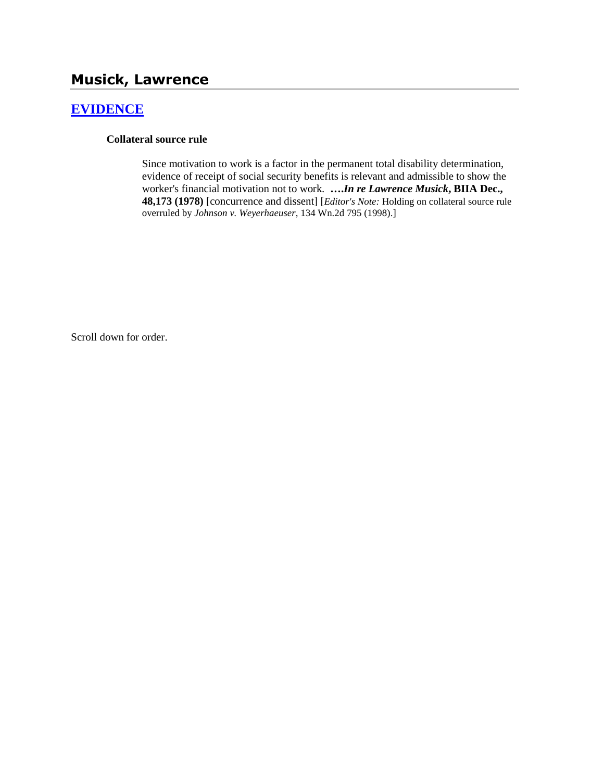# **Musick, Lawrence**

# **[EVIDENCE](http://www.biia.wa.gov/SDSubjectIndex.html#EVIDENCE)**

#### **Collateral source rule**

Since motivation to work is a factor in the permanent total disability determination, evidence of receipt of social security benefits is relevant and admissible to show the worker's financial motivation not to work. **….***In re Lawrence Musick***, BIIA Dec., 48,173 (1978)** [concurrence and dissent] [*Editor's Note:* Holding on collateral source rule overruled by *Johnson v. Weyerhaeuser*, 134 Wn.2d 795 (1998).]

Scroll down for order.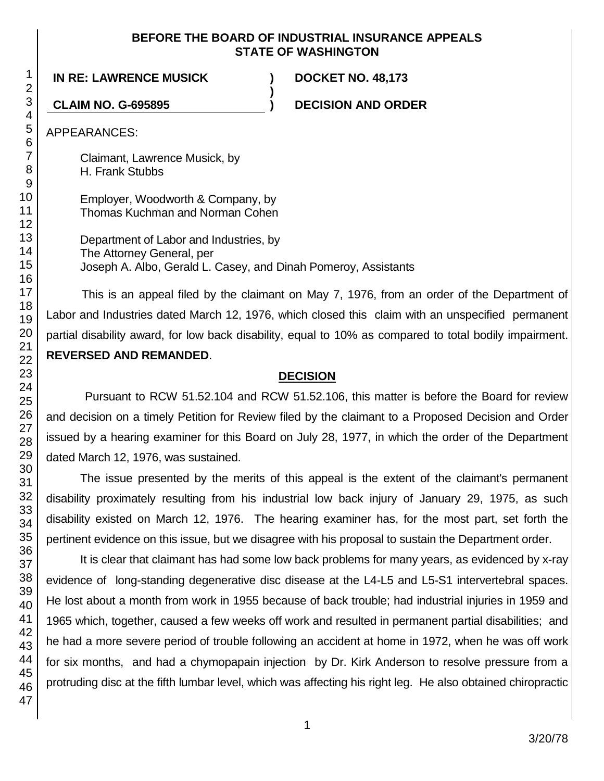#### **BEFORE THE BOARD OF INDUSTRIAL INSURANCE APPEALS STATE OF WASHINGTON**

**)**

**IN RE: LAWRENCE MUSICK ) DOCKET NO. 48,173**

**CLAIM NO. G-695895 ) DECISION AND ORDER**

APPEARANCES:

Claimant, Lawrence Musick, by H. Frank Stubbs

Employer, Woodworth & Company, by Thomas Kuchman and Norman Cohen

Department of Labor and Industries, by The Attorney General, per Joseph A. Albo, Gerald L. Casey, and Dinah Pomeroy, Assistants

This is an appeal filed by the claimant on May 7, 1976, from an order of the Department of Labor and Industries dated March 12, 1976, which closed this claim with an unspecified permanent partial disability award, for low back disability, equal to 10% as compared to total bodily impairment. **REVERSED AND REMANDED**.

# **DECISION**

Pursuant to RCW 51.52.104 and RCW 51.52.106, this matter is before the Board for review and decision on a timely Petition for Review filed by the claimant to a Proposed Decision and Order issued by a hearing examiner for this Board on July 28, 1977, in which the order of the Department dated March 12, 1976, was sustained.

The issue presented by the merits of this appeal is the extent of the claimant's permanent disability proximately resulting from his industrial low back injury of January 29, 1975, as such disability existed on March 12, 1976. The hearing examiner has, for the most part, set forth the pertinent evidence on this issue, but we disagree with his proposal to sustain the Department order.

It is clear that claimant has had some low back problems for many years, as evidenced by x-ray evidence of long-standing degenerative disc disease at the L4-L5 and L5-S1 intervertebral spaces. He lost about a month from work in 1955 because of back trouble; had industrial injuries in 1959 and 1965 which, together, caused a few weeks off work and resulted in permanent partial disabilities; and he had a more severe period of trouble following an accident at home in 1972, when he was off work for six months, and had a chymopapain injection by Dr. Kirk Anderson to resolve pressure from a protruding disc at the fifth lumbar level, which was affecting his right leg. He also obtained chiropractic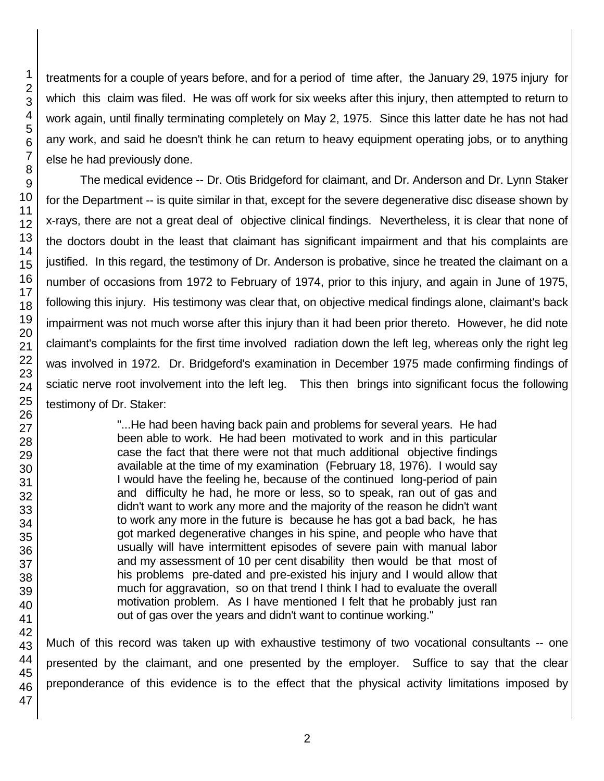47

1 2 3 treatments for a couple of years before, and for a period of time after, the January 29, 1975 injury for which this claim was filed. He was off work for six weeks after this injury, then attempted to return to work again, until finally terminating completely on May 2, 1975. Since this latter date he has not had any work, and said he doesn't think he can return to heavy equipment operating jobs, or to anything else he had previously done.

The medical evidence -- Dr. Otis Bridgeford for claimant, and Dr. Anderson and Dr. Lynn Staker for the Department -- is quite similar in that, except for the severe degenerative disc disease shown by x-rays, there are not a great deal of objective clinical findings. Nevertheless, it is clear that none of the doctors doubt in the least that claimant has significant impairment and that his complaints are justified. In this regard, the testimony of Dr. Anderson is probative, since he treated the claimant on a number of occasions from 1972 to February of 1974, prior to this injury, and again in June of 1975, following this injury. His testimony was clear that, on objective medical findings alone, claimant's back impairment was not much worse after this injury than it had been prior thereto. However, he did note claimant's complaints for the first time involved radiation down the left leg, whereas only the right leg was involved in 1972. Dr. Bridgeford's examination in December 1975 made confirming findings of sciatic nerve root involvement into the left leg. This then brings into significant focus the following testimony of Dr. Staker:

> "...He had been having back pain and problems for several years. He had been able to work. He had been motivated to work and in this particular case the fact that there were not that much additional objective findings available at the time of my examination (February 18, 1976). I would say I would have the feeling he, because of the continued long-period of pain and difficulty he had, he more or less, so to speak, ran out of gas and didn't want to work any more and the majority of the reason he didn't want to work any more in the future is because he has got a bad back, he has got marked degenerative changes in his spine, and people who have that usually will have intermittent episodes of severe pain with manual labor and my assessment of 10 per cent disability then would be that most of his problems pre-dated and pre-existed his injury and I would allow that much for aggravation, so on that trend I think I had to evaluate the overall motivation problem. As I have mentioned I felt that he probably just ran out of gas over the years and didn't want to continue working."

46 Much of this record was taken up with exhaustive testimony of two vocational consultants -- one presented by the claimant, and one presented by the employer. Suffice to say that the clear preponderance of this evidence is to the effect that the physical activity limitations imposed by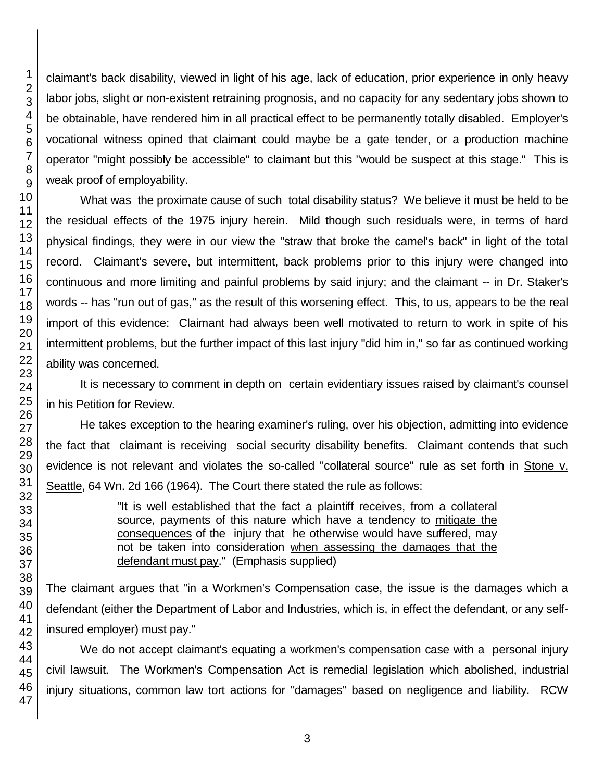46 47

claimant's back disability, viewed in light of his age, lack of education, prior experience in only heavy labor jobs, slight or non-existent retraining prognosis, and no capacity for any sedentary jobs shown to be obtainable, have rendered him in all practical effect to be permanently totally disabled. Employer's vocational witness opined that claimant could maybe be a gate tender, or a production machine operator "might possibly be accessible" to claimant but this "would be suspect at this stage." This is weak proof of employability.

What was the proximate cause of such total disability status? We believe it must be held to be the residual effects of the 1975 injury herein. Mild though such residuals were, in terms of hard physical findings, they were in our view the "straw that broke the camel's back" in light of the total record. Claimant's severe, but intermittent, back problems prior to this injury were changed into continuous and more limiting and painful problems by said injury; and the claimant -- in Dr. Staker's words -- has "run out of gas," as the result of this worsening effect. This, to us, appears to be the real import of this evidence: Claimant had always been well motivated to return to work in spite of his intermittent problems, but the further impact of this last injury "did him in," so far as continued working ability was concerned.

It is necessary to comment in depth on certain evidentiary issues raised by claimant's counsel in his Petition for Review.

He takes exception to the hearing examiner's ruling, over his objection, admitting into evidence the fact that claimant is receiving social security disability benefits. Claimant contends that such evidence is not relevant and violates the so-called "collateral source" rule as set forth in Stone v. Seattle, 64 Wn. 2d 166 (1964). The Court there stated the rule as follows:

> "It is well established that the fact a plaintiff receives, from a collateral source, payments of this nature which have a tendency to mitigate the consequences of the injury that he otherwise would have suffered, may not be taken into consideration when assessing the damages that the defendant must pay." (Emphasis supplied)

The claimant argues that "in a Workmen's Compensation case, the issue is the damages which a defendant (either the Department of Labor and Industries, which is, in effect the defendant, or any selfinsured employer) must pay."

We do not accept claimant's equating a workmen's compensation case with a personal injury civil lawsuit. The Workmen's Compensation Act is remedial legislation which abolished, industrial injury situations, common law tort actions for "damages" based on negligence and liability. RCW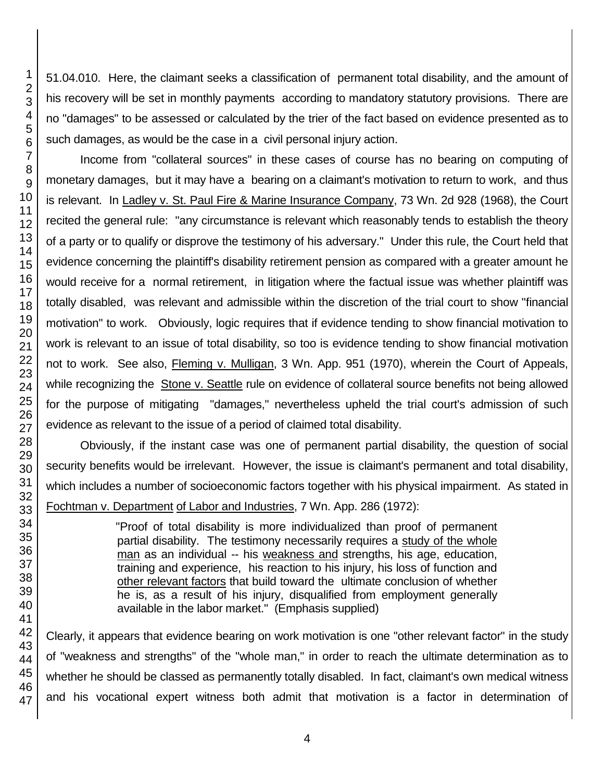51.04.010. Here, the claimant seeks a classification of permanent total disability, and the amount of his recovery will be set in monthly payments according to mandatory statutory provisions. There are no "damages" to be assessed or calculated by the trier of the fact based on evidence presented as to such damages, as would be the case in a civil personal injury action.

Income from "collateral sources" in these cases of course has no bearing on computing of monetary damages, but it may have a bearing on a claimant's motivation to return to work, and thus is relevant. In Ladley v. St. Paul Fire & Marine Insurance Company, 73 Wn. 2d 928 (1968), the Court recited the general rule: "any circumstance is relevant which reasonably tends to establish the theory of a party or to qualify or disprove the testimony of his adversary." Under this rule, the Court held that evidence concerning the plaintiff's disability retirement pension as compared with a greater amount he would receive for a normal retirement, in litigation where the factual issue was whether plaintiff was totally disabled, was relevant and admissible within the discretion of the trial court to show "financial motivation" to work. Obviously, logic requires that if evidence tending to show financial motivation to work is relevant to an issue of total disability, so too is evidence tending to show financial motivation not to work. See also, Fleming v. Mulligan, 3 Wn. App. 951 (1970), wherein the Court of Appeals, while recognizing the Stone v. Seattle rule on evidence of collateral source benefits not being allowed for the purpose of mitigating "damages," nevertheless upheld the trial court's admission of such evidence as relevant to the issue of a period of claimed total disability.

Obviously, if the instant case was one of permanent partial disability, the question of social security benefits would be irrelevant. However, the issue is claimant's permanent and total disability, which includes a number of socioeconomic factors together with his physical impairment. As stated in Fochtman v. Department of Labor and Industries, 7 Wn. App. 286 (1972):

> "Proof of total disability is more individualized than proof of permanent partial disability. The testimony necessarily requires a study of the whole man as an individual -- his weakness and strengths, his age, education, training and experience, his reaction to his injury, his loss of function and other relevant factors that build toward the ultimate conclusion of whether he is, as a result of his injury, disqualified from employment generally available in the labor market." (Emphasis supplied)

Clearly, it appears that evidence bearing on work motivation is one "other relevant factor" in the study of "weakness and strengths" of the "whole man," in order to reach the ultimate determination as to whether he should be classed as permanently totally disabled. In fact, claimant's own medical witness and his vocational expert witness both admit that motivation is a factor in determination of

1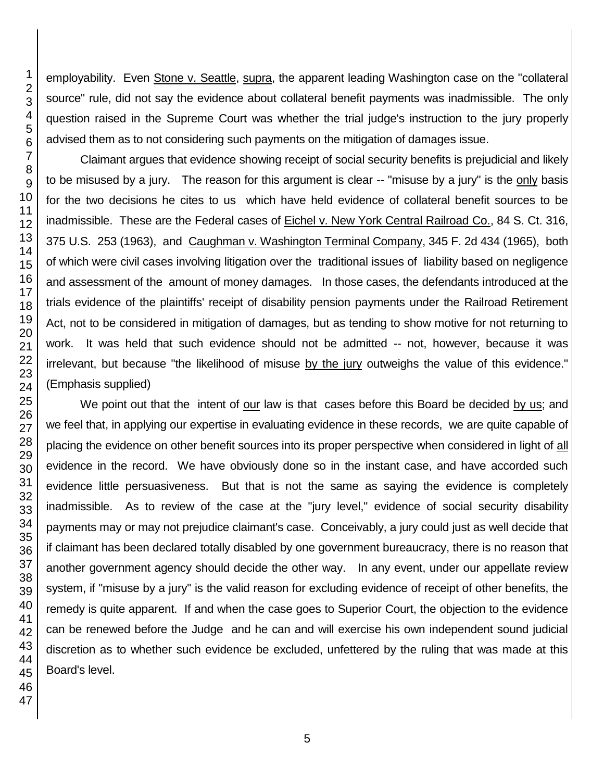employability. Even Stone v. Seattle, supra, the apparent leading Washington case on the "collateral source" rule, did not say the evidence about collateral benefit payments was inadmissible. The only question raised in the Supreme Court was whether the trial judge's instruction to the jury properly advised them as to not considering such payments on the mitigation of damages issue.

Claimant argues that evidence showing receipt of social security benefits is prejudicial and likely to be misused by a jury. The reason for this argument is clear -- "misuse by a jury" is the only basis for the two decisions he cites to us which have held evidence of collateral benefit sources to be inadmissible. These are the Federal cases of Eichel v. New York Central Railroad Co., 84 S. Ct. 316, 375 U.S. 253 (1963), and Caughman v. Washington Terminal Company, 345 F. 2d 434 (1965), both of which were civil cases involving litigation over the traditional issues of liability based on negligence and assessment of the amount of money damages. In those cases, the defendants introduced at the trials evidence of the plaintiffs' receipt of disability pension payments under the Railroad Retirement Act, not to be considered in mitigation of damages, but as tending to show motive for not returning to work. It was held that such evidence should not be admitted -- not, however, because it was irrelevant, but because "the likelihood of misuse by the jury outweighs the value of this evidence." (Emphasis supplied)

We point out that the intent of our law is that cases before this Board be decided by us; and we feel that, in applying our expertise in evaluating evidence in these records, we are quite capable of placing the evidence on other benefit sources into its proper perspective when considered in light of all evidence in the record. We have obviously done so in the instant case, and have accorded such evidence little persuasiveness. But that is not the same as saying the evidence is completely inadmissible. As to review of the case at the "jury level," evidence of social security disability payments may or may not prejudice claimant's case. Conceivably, a jury could just as well decide that if claimant has been declared totally disabled by one government bureaucracy, there is no reason that another government agency should decide the other way. In any event, under our appellate review system, if "misuse by a jury" is the valid reason for excluding evidence of receipt of other benefits, the remedy is quite apparent. If and when the case goes to Superior Court, the objection to the evidence can be renewed before the Judge and he can and will exercise his own independent sound judicial discretion as to whether such evidence be excluded, unfettered by the ruling that was made at this Board's level.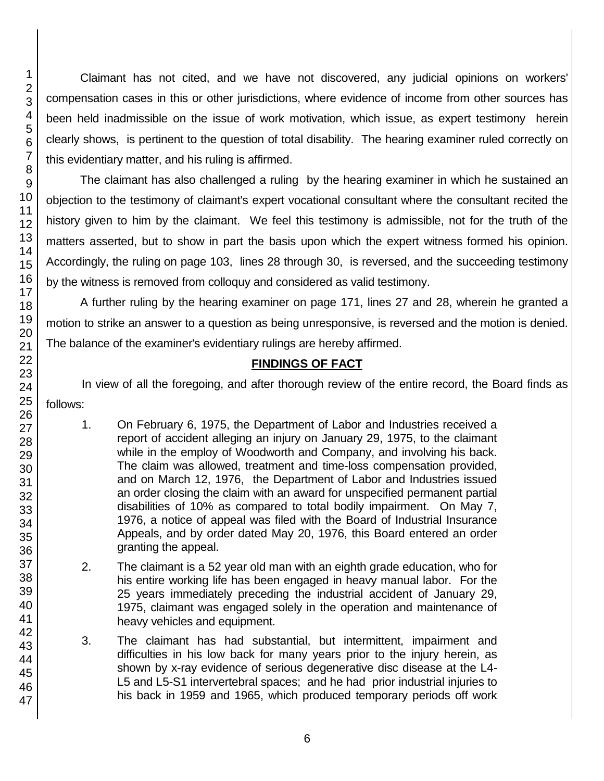Claimant has not cited, and we have not discovered, any judicial opinions on workers' compensation cases in this or other jurisdictions, where evidence of income from other sources has been held inadmissible on the issue of work motivation, which issue, as expert testimony herein clearly shows, is pertinent to the question of total disability. The hearing examiner ruled correctly on this evidentiary matter, and his ruling is affirmed.

The claimant has also challenged a ruling by the hearing examiner in which he sustained an objection to the testimony of claimant's expert vocational consultant where the consultant recited the history given to him by the claimant. We feel this testimony is admissible, not for the truth of the matters asserted, but to show in part the basis upon which the expert witness formed his opinion. Accordingly, the ruling on page 103, lines 28 through 30, is reversed, and the succeeding testimony by the witness is removed from colloquy and considered as valid testimony.

A further ruling by the hearing examiner on page 171, lines 27 and 28, wherein he granted a motion to strike an answer to a question as being unresponsive, is reversed and the motion is denied. The balance of the examiner's evidentiary rulings are hereby affirmed.

# **FINDINGS OF FACT**

In view of all the foregoing, and after thorough review of the entire record, the Board finds as follows:

- 1. On February 6, 1975, the Department of Labor and Industries received a report of accident alleging an injury on January 29, 1975, to the claimant while in the employ of Woodworth and Company, and involving his back. The claim was allowed, treatment and time-loss compensation provided, and on March 12, 1976, the Department of Labor and Industries issued an order closing the claim with an award for unspecified permanent partial disabilities of 10% as compared to total bodily impairment. On May 7, 1976, a notice of appeal was filed with the Board of Industrial Insurance Appeals, and by order dated May 20, 1976, this Board entered an order granting the appeal.
- 2. The claimant is a 52 year old man with an eighth grade education, who for his entire working life has been engaged in heavy manual labor. For the 25 years immediately preceding the industrial accident of January 29, 1975, claimant was engaged solely in the operation and maintenance of heavy vehicles and equipment.
- 3. The claimant has had substantial, but intermittent, impairment and difficulties in his low back for many years prior to the injury herein, as shown by x-ray evidence of serious degenerative disc disease at the L4- L5 and L5-S1 intervertebral spaces; and he had prior industrial injuries to his back in 1959 and 1965, which produced temporary periods off work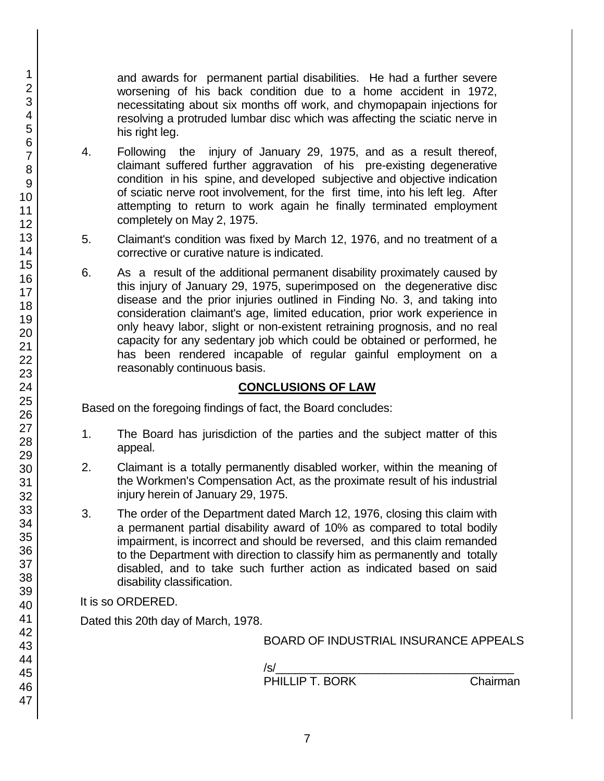and awards for permanent partial disabilities. He had a further severe worsening of his back condition due to a home accident in 1972, necessitating about six months off work, and chymopapain injections for resolving a protruded lumbar disc which was affecting the sciatic nerve in his right leg.

- 4. Following the injury of January 29, 1975, and as a result thereof, claimant suffered further aggravation of his pre-existing degenerative condition in his spine, and developed subjective and objective indication of sciatic nerve root involvement, for the first time, into his left leg. After attempting to return to work again he finally terminated employment completely on May 2, 1975.
- 5. Claimant's condition was fixed by March 12, 1976, and no treatment of a corrective or curative nature is indicated.
- 6. As a result of the additional permanent disability proximately caused by this injury of January 29, 1975, superimposed on the degenerative disc disease and the prior injuries outlined in Finding No. 3, and taking into consideration claimant's age, limited education, prior work experience in only heavy labor, slight or non-existent retraining prognosis, and no real capacity for any sedentary job which could be obtained or performed, he has been rendered incapable of regular gainful employment on a reasonably continuous basis.

# **CONCLUSIONS OF LAW**

Based on the foregoing findings of fact, the Board concludes:

- 1. The Board has jurisdiction of the parties and the subject matter of this appeal.
- 2. Claimant is a totally permanently disabled worker, within the meaning of the Workmen's Compensation Act, as the proximate result of his industrial injury herein of January 29, 1975.
- 3. The order of the Department dated March 12, 1976, closing this claim with a permanent partial disability award of 10% as compared to total bodily impairment, is incorrect and should be reversed, and this claim remanded to the Department with direction to classify him as permanently and totally disabled, and to take such further action as indicated based on said disability classification.

It is so ORDERED.

Dated this 20th day of March, 1978.

BOARD OF INDUSTRIAL INSURANCE APPEALS

/s/\_\_\_\_\_\_\_\_\_\_\_\_\_\_\_\_\_\_\_\_\_\_\_\_\_\_\_\_\_\_\_\_\_\_\_\_\_ PHILLIP T. BORK Chairman

1